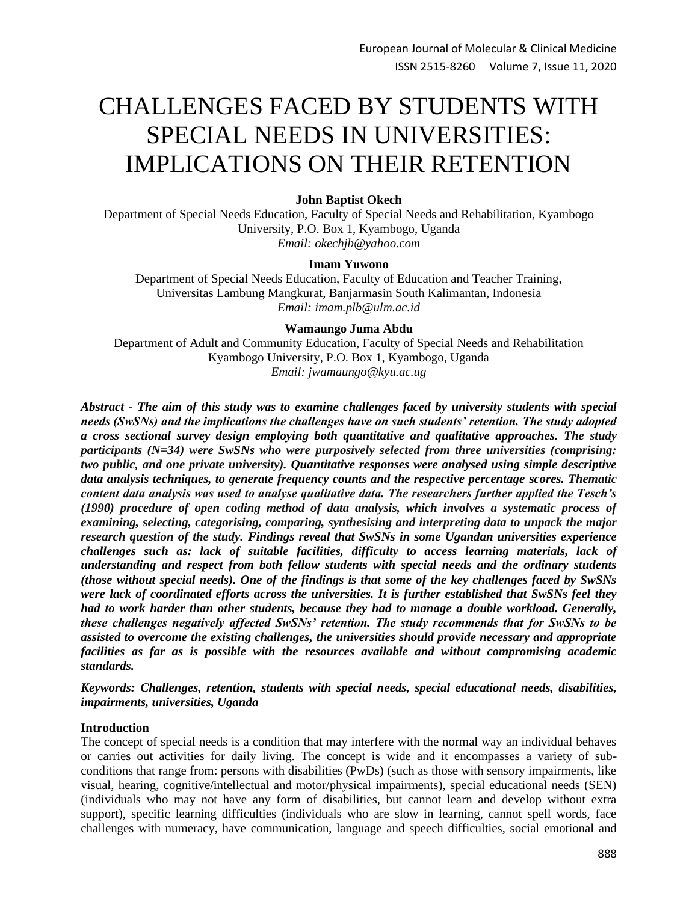# CHALLENGES FACED BY STUDENTS WITH SPECIAL NEEDS IN UNIVERSITIES: IMPLICATIONS ON THEIR RETENTION

# **John Baptist Okech**

Department of Special Needs Education, Faculty of Special Needs and Rehabilitation, Kyambogo University, P.O. Box 1, Kyambogo, Uganda *Email: okechjb@yahoo.com*

## **Imam Yuwono**

Department of Special Needs Education, Faculty of Education and Teacher Training, Universitas Lambung Mangkurat, Banjarmasin South Kalimantan, Indonesia *Email: imam.plb@ulm.ac.id*

# **Wamaungo Juma Abdu**

Department of Adult and Community Education, Faculty of Special Needs and Rehabilitation Kyambogo University, P.O. Box 1, Kyambogo, Uganda *Email: jwamaungo@kyu.ac.ug*

*Abstract - The aim of this study was to examine challenges faced by university students with special needs (SwSNs) and the implications the challenges have on such students' retention. The study adopted a cross sectional survey design employing both quantitative and qualitative approaches. The study participants (N=34) were SwSNs who were purposively selected from three universities (comprising: two public, and one private university). Quantitative responses were analysed using simple descriptive data analysis techniques, to generate frequency counts and the respective percentage scores. Thematic content data analysis was used to analyse qualitative data. The researchers further applied the Tesch's (1990) procedure of open coding method of data analysis, which involves a systematic process of examining, selecting, categorising, comparing, synthesising and interpreting data to unpack the major research question of the study. Findings reveal that SwSNs in some Ugandan universities experience challenges such as: lack of suitable facilities, difficulty to access learning materials, lack of understanding and respect from both fellow students with special needs and the ordinary students (those without special needs). One of the findings is that some of the key challenges faced by SwSNs were lack of coordinated efforts across the universities. It is further established that SwSNs feel they had to work harder than other students, because they had to manage a double workload. Generally, these challenges negatively affected SwSNs' retention. The study recommends that for SwSNs to be assisted to overcome the existing challenges, the universities should provide necessary and appropriate facilities as far as is possible with the resources available and without compromising academic standards.*

*Keywords: Challenges, retention, students with special needs, special educational needs, disabilities, impairments, universities, Uganda*

#### **Introduction**

The concept of special needs is a condition that may interfere with the normal way an individual behaves or carries out activities for daily living. The concept is wide and it encompasses a variety of subconditions that range from: persons with disabilities (PwDs) (such as those with sensory impairments, like visual, hearing, cognitive/intellectual and motor/physical impairments), special educational needs (SEN) (individuals who may not have any form of disabilities, but cannot learn and develop without extra support), specific learning difficulties (individuals who are slow in learning, cannot spell words, face challenges with numeracy, have communication, language and speech difficulties, social emotional and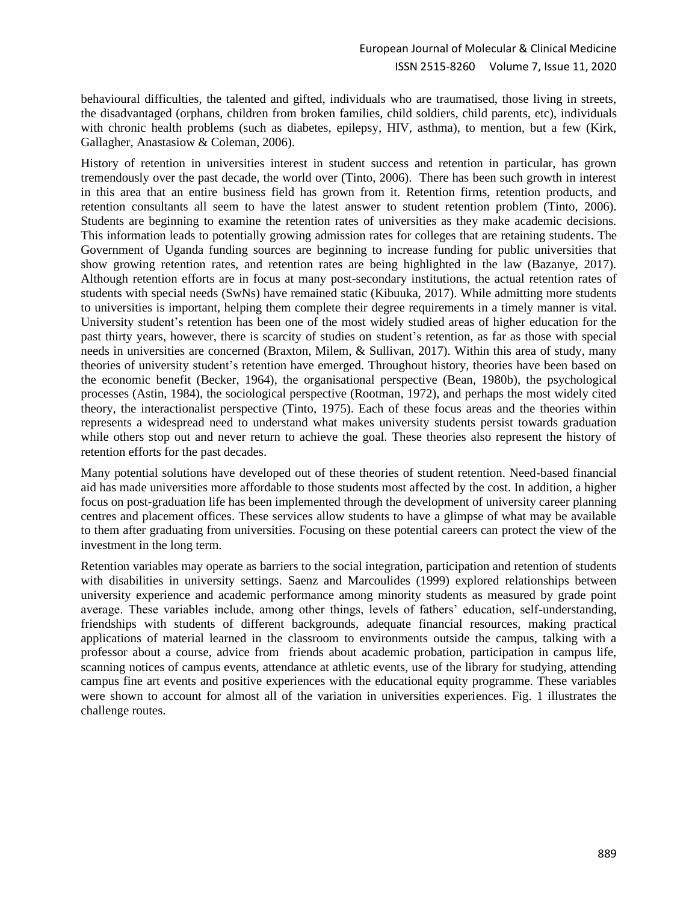behavioural difficulties, the talented and gifted, individuals who are traumatised, those living in streets, the disadvantaged (orphans, children from broken families, child soldiers, child parents, etc), individuals with chronic health problems (such as diabetes, epilepsy, HIV, asthma), to mention, but a few (Kirk, Gallagher, Anastasiow & Coleman, 2006).

History of retention in universities interest in student success and retention in particular, has grown tremendously over the past decade, the world over (Tinto, 2006). There has been such growth in interest in this area that an entire business field has grown from it. Retention firms, retention products, and retention consultants all seem to have the latest answer to student retention problem (Tinto, 2006). Students are beginning to examine the retention rates of universities as they make academic decisions. This information leads to potentially growing admission rates for colleges that are retaining students. The Government of Uganda funding sources are beginning to increase funding for public universities that show growing retention rates, and retention rates are being highlighted in the law (Bazanye, 2017). Although retention efforts are in focus at many post-secondary institutions, the actual retention rates of students with special needs (SwNs) have remained static (Kibuuka, 2017). While admitting more students to universities is important, helping them complete their degree requirements in a timely manner is vital. University student's retention has been one of the most widely studied areas of higher education for the past thirty years, however, there is scarcity of studies on student's retention, as far as those with special needs in universities are concerned (Braxton, Milem, & Sullivan, 2017). Within this area of study, many theories of university student's retention have emerged. Throughout history, theories have been based on the economic benefit (Becker, 1964), the organisational perspective (Bean, 1980b), the psychological processes (Astin, 1984), the sociological perspective (Rootman, 1972), and perhaps the most widely cited theory, the interactionalist perspective (Tinto, 1975). Each of these focus areas and the theories within represents a widespread need to understand what makes university students persist towards graduation while others stop out and never return to achieve the goal. These theories also represent the history of retention efforts for the past decades.

Many potential solutions have developed out of these theories of student retention. Need-based financial aid has made universities more affordable to those students most affected by the cost. In addition, a higher focus on post-graduation life has been implemented through the development of university career planning centres and placement offices. These services allow students to have a glimpse of what may be available to them after graduating from universities. Focusing on these potential careers can protect the view of the investment in the long term.

Retention variables may operate as barriers to the social integration, participation and retention of students with disabilities in university settings. Saenz and Marcoulides (1999) explored relationships between university experience and academic performance among minority students as measured by grade point average. These variables include, among other things, levels of fathers' education, self-understanding, friendships with students of different backgrounds, adequate financial resources, making practical applications of material learned in the classroom to environments outside the campus, talking with a professor about a course, advice from friends about academic probation, participation in campus life, scanning notices of campus events, attendance at athletic events, use of the library for studying, attending campus fine art events and positive experiences with the educational equity programme. These variables were shown to account for almost all of the variation in universities experiences. Fig. 1 illustrates the challenge routes.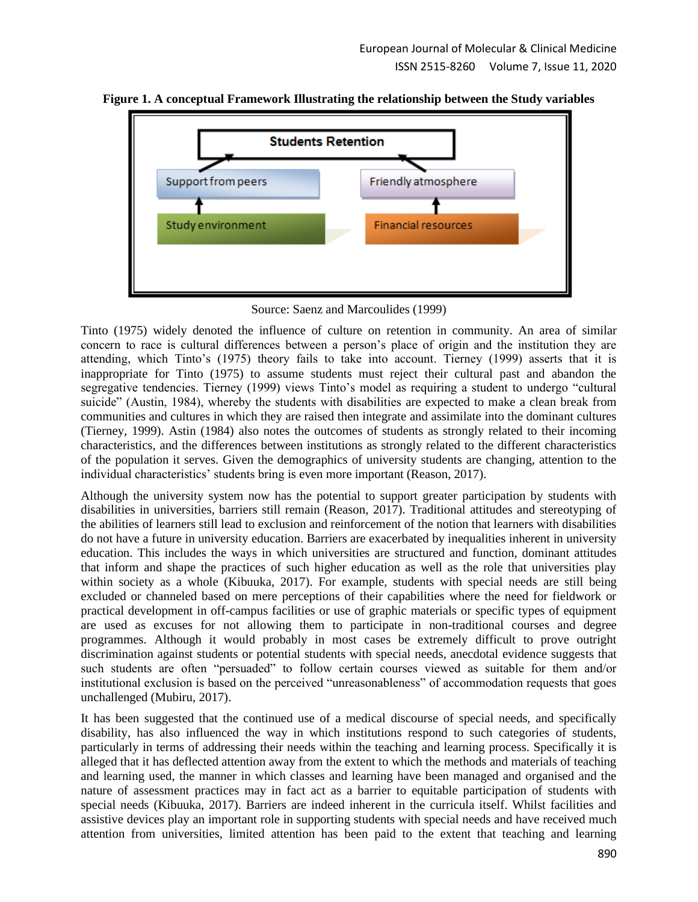

**Figure 1. A conceptual Framework Illustrating the relationship between the Study variables**

Source: Saenz and Marcoulides (1999)

Tinto (1975) widely denoted the influence of culture on retention in community. An area of similar concern to race is cultural differences between a person's place of origin and the institution they are attending, which Tinto's (1975) theory fails to take into account. Tierney (1999) asserts that it is inappropriate for Tinto (1975) to assume students must reject their cultural past and abandon the segregative tendencies. Tierney (1999) views Tinto's model as requiring a student to undergo "cultural suicide" (Austin, 1984), whereby the students with disabilities are expected to make a clean break from communities and cultures in which they are raised then integrate and assimilate into the dominant cultures (Tierney, 1999). Astin (1984) also notes the outcomes of students as strongly related to their incoming characteristics, and the differences between institutions as strongly related to the different characteristics of the population it serves. Given the demographics of university students are changing, attention to the individual characteristics' students bring is even more important (Reason, 2017).

Although the university system now has the potential to support greater participation by students with disabilities in universities, barriers still remain (Reason, 2017). Traditional attitudes and stereotyping of the abilities of learners still lead to exclusion and reinforcement of the notion that learners with disabilities do not have a future in university education. Barriers are exacerbated by inequalities inherent in university education. This includes the ways in which universities are structured and function, dominant attitudes that inform and shape the practices of such higher education as well as the role that universities play within society as a whole (Kibuuka, 2017). For example, students with special needs are still being excluded or channeled based on mere perceptions of their capabilities where the need for fieldwork or practical development in off-campus facilities or use of graphic materials or specific types of equipment are used as excuses for not allowing them to participate in non-traditional courses and degree programmes. Although it would probably in most cases be extremely difficult to prove outright discrimination against students or potential students with special needs, anecdotal evidence suggests that such students are often "persuaded" to follow certain courses viewed as suitable for them and/or institutional exclusion is based on the perceived "unreasonableness" of accommodation requests that goes unchallenged (Mubiru, 2017).

It has been suggested that the continued use of a medical discourse of special needs, and specifically disability, has also influenced the way in which institutions respond to such categories of students, particularly in terms of addressing their needs within the teaching and learning process. Specifically it is alleged that it has deflected attention away from the extent to which the methods and materials of teaching and learning used, the manner in which classes and learning have been managed and organised and the nature of assessment practices may in fact act as a barrier to equitable participation of students with special needs (Kibuuka, 2017). Barriers are indeed inherent in the curricula itself. Whilst facilities and assistive devices play an important role in supporting students with special needs and have received much attention from universities, limited attention has been paid to the extent that teaching and learning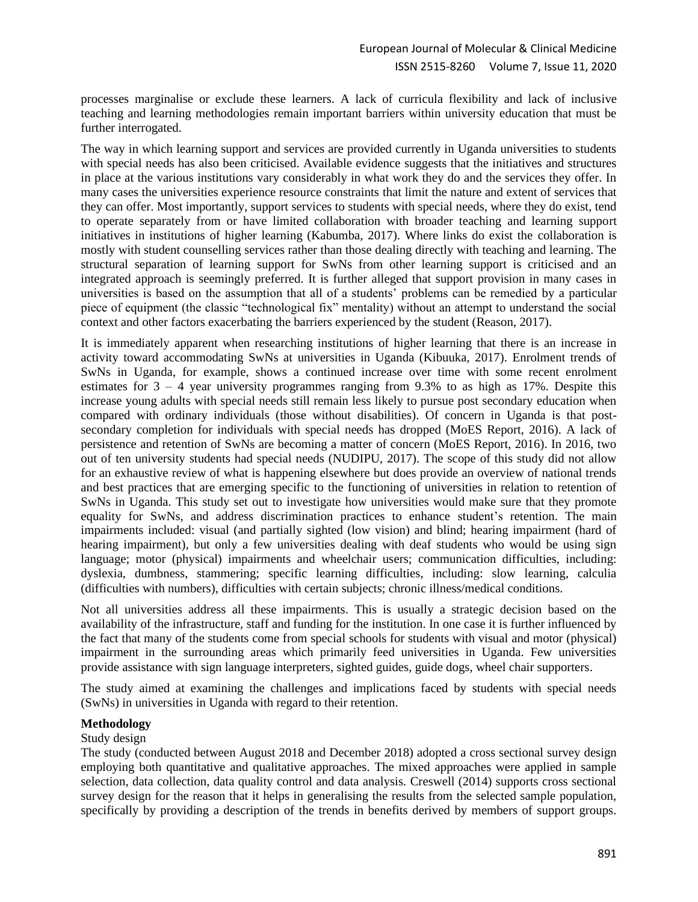processes marginalise or exclude these learners. A lack of curricula flexibility and lack of inclusive teaching and learning methodologies remain important barriers within university education that must be further interrogated.

The way in which learning support and services are provided currently in Uganda universities to students with special needs has also been criticised. Available evidence suggests that the initiatives and structures in place at the various institutions vary considerably in what work they do and the services they offer. In many cases the universities experience resource constraints that limit the nature and extent of services that they can offer. Most importantly, support services to students with special needs, where they do exist, tend to operate separately from or have limited collaboration with broader teaching and learning support initiatives in institutions of higher learning (Kabumba, 2017). Where links do exist the collaboration is mostly with student counselling services rather than those dealing directly with teaching and learning. The structural separation of learning support for SwNs from other learning support is criticised and an integrated approach is seemingly preferred. It is further alleged that support provision in many cases in universities is based on the assumption that all of a students' problems can be remedied by a particular piece of equipment (the classic "technological fix" mentality) without an attempt to understand the social context and other factors exacerbating the barriers experienced by the student (Reason, 2017).

It is immediately apparent when researching institutions of higher learning that there is an increase in activity toward accommodating SwNs at universities in Uganda (Kibuuka, 2017). Enrolment trends of SwNs in Uganda, for example, shows a continued increase over time with some recent enrolment estimates for  $3 - 4$  year university programmes ranging from 9.3% to as high as 17%. Despite this increase young adults with special needs still remain less likely to pursue post secondary education when compared with ordinary individuals (those without disabilities). Of concern in Uganda is that postsecondary completion for individuals with special needs has dropped (MoES Report, 2016). A lack of persistence and retention of SwNs are becoming a matter of concern (MoES Report, 2016). In 2016, two out of ten university students had special needs (NUDIPU, 2017). The scope of this study did not allow for an exhaustive review of what is happening elsewhere but does provide an overview of national trends and best practices that are emerging specific to the functioning of universities in relation to retention of SwNs in Uganda. This study set out to investigate how universities would make sure that they promote equality for SwNs, and address discrimination practices to enhance student's retention. The main impairments included: visual (and partially sighted (low vision) and blind; hearing impairment (hard of hearing impairment), but only a few universities dealing with deaf students who would be using sign language; motor (physical) impairments and wheelchair users; communication difficulties, including: dyslexia, dumbness, stammering; specific learning difficulties, including: slow learning, calculia (difficulties with numbers), difficulties with certain subjects; chronic illness/medical conditions.

Not all universities address all these impairments. This is usually a strategic decision based on the availability of the infrastructure, staff and funding for the institution. In one case it is further influenced by the fact that many of the students come from special schools for students with visual and motor (physical) impairment in the surrounding areas which primarily feed universities in Uganda. Few universities provide assistance with sign language interpreters, sighted guides, guide dogs, wheel chair supporters.

The study aimed at examining the challenges and implications faced by students with special needs (SwNs) in universities in Uganda with regard to their retention.

# **Methodology**

#### Study design

The study (conducted between August 2018 and December 2018) adopted a cross sectional survey design employing both quantitative and qualitative approaches. The mixed approaches were applied in sample selection, data collection, data quality control and data analysis. Creswell (2014) supports cross sectional survey design for the reason that it helps in generalising the results from the selected sample population, specifically by providing a description of the trends in benefits derived by members of support groups.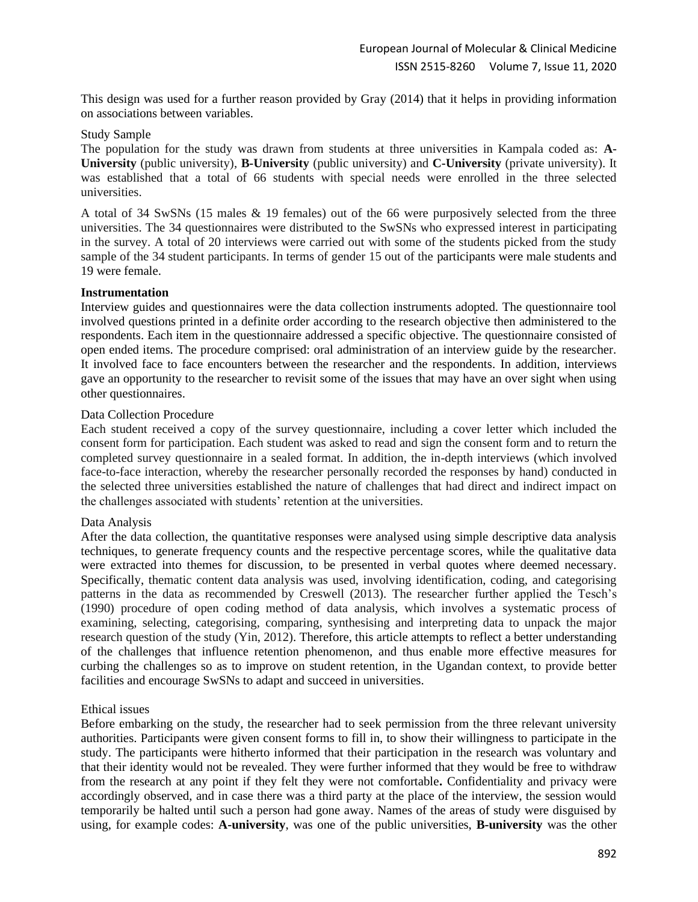This design was used for a further reason provided by Gray (2014) that it helps in providing information on associations between variables.

#### Study Sample

The population for the study was drawn from students at three universities in Kampala coded as: **A-University** (public university), **B-University** (public university) and **C-University** (private university). It was established that a total of 66 students with special needs were enrolled in the three selected universities.

A total of 34 SwSNs (15 males & 19 females) out of the 66 were purposively selected from the three universities. The 34 questionnaires were distributed to the SwSNs who expressed interest in participating in the survey. A total of 20 interviews were carried out with some of the students picked from the study sample of the 34 student participants. In terms of gender 15 out of the participants were male students and 19 were female.

## **Instrumentation**

Interview guides and questionnaires were the data collection instruments adopted. The questionnaire tool involved questions printed in a definite order according to the research objective then administered to the respondents. Each item in the questionnaire addressed a specific objective. The questionnaire consisted of open ended items. The procedure comprised: oral administration of an interview guide by the researcher. It involved face to face encounters between the researcher and the respondents. In addition, interviews gave an opportunity to the researcher to revisit some of the issues that may have an over sight when using other questionnaires.

## Data Collection Procedure

Each student received a copy of the survey questionnaire, including a cover letter which included the consent form for participation. Each student was asked to read and sign the consent form and to return the completed survey questionnaire in a sealed format. In addition, the in-depth interviews (which involved face-to-face interaction, whereby the researcher personally recorded the responses by hand) conducted in the selected three universities established the nature of challenges that had direct and indirect impact on the challenges associated with students' retention at the universities.

#### Data Analysis

After the data collection, the quantitative responses were analysed using simple descriptive data analysis techniques, to generate frequency counts and the respective percentage scores, while the qualitative data were extracted into themes for discussion, to be presented in verbal quotes where deemed necessary. Specifically, thematic content data analysis was used, involving identification, coding, and categorising patterns in the data as recommended by Creswell (2013). The researcher further applied the Tesch's (1990) procedure of open coding method of data analysis, which involves a systematic process of examining, selecting, categorising, comparing, synthesising and interpreting data to unpack the major research question of the study (Yin, 2012). Therefore, this article attempts to reflect a better understanding of the challenges that influence retention phenomenon, and thus enable more effective measures for curbing the challenges so as to improve on student retention, in the Ugandan context, to provide better facilities and encourage SwSNs to adapt and succeed in universities.

#### Ethical issues

Before embarking on the study, the researcher had to seek permission from the three relevant university authorities. Participants were given consent forms to fill in, to show their willingness to participate in the study. The participants were hitherto informed that their participation in the research was voluntary and that their identity would not be revealed. They were further informed that they would be free to withdraw from the research at any point if they felt they were not comfortable**.** Confidentiality and privacy were accordingly observed, and in case there was a third party at the place of the interview, the session would temporarily be halted until such a person had gone away. Names of the areas of study were disguised by using, for example codes: **A-university**, was one of the public universities, **B-university** was the other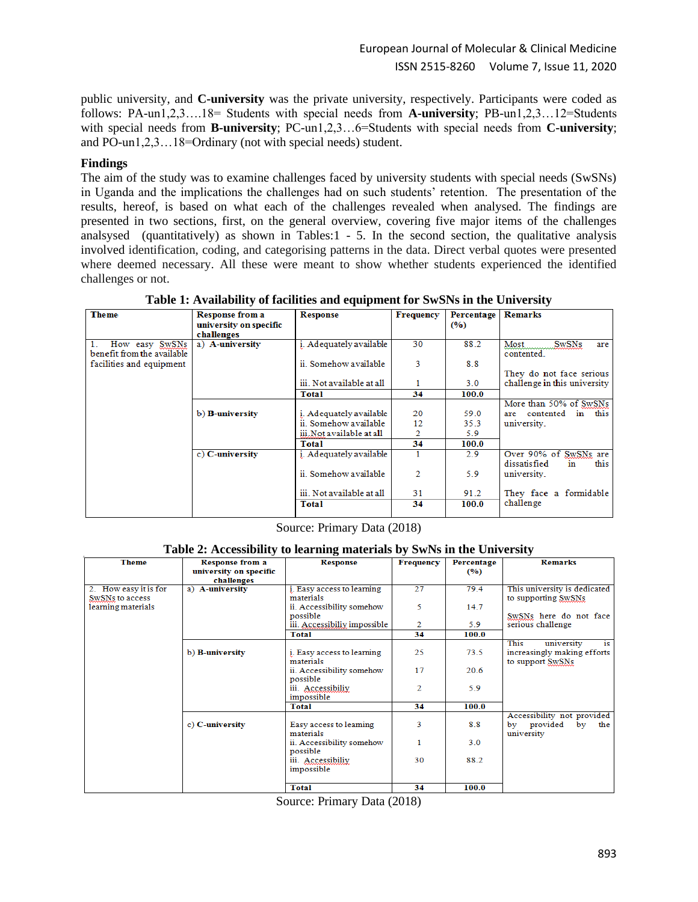public university, and **C-university** was the private university, respectively. Participants were coded as follows: PA-un1,2,3….18= Students with special needs from **A-university**; PB-un1,2,3…12=Students with special needs from **B-university**; PC-un1,2,3…6=Students with special needs from **C-university**; and PO-un1,2,3…18=Ordinary (not with special needs) student.

# **Findings**

The aim of the study was to examine challenges faced by university students with special needs (SwSNs) in Uganda and the implications the challenges had on such students' retention. The presentation of the results, hereof, is based on what each of the challenges revealed when analysed. The findings are presented in two sections, first, on the general overview, covering five major items of the challenges analsysed (quantitatively) as shown in Tables:1 - 5. In the second section, the qualitative analysis involved identification, coding, and categorising patterns in the data. Direct verbal quotes were presented where deemed necessary. All these were meant to show whether students experienced the identified challenges or not.

| <b>Theme</b>                                 | <b>Response from a</b> | <b>Response</b>           | <b>Frequency</b> | Percentage | <b>Remarks</b>                            |  |  |
|----------------------------------------------|------------------------|---------------------------|------------------|------------|-------------------------------------------|--|--|
|                                              | university on specific |                           |                  | (9/6)      |                                           |  |  |
|                                              | challenges             |                           |                  |            |                                           |  |  |
| How easy SwSNs<br>benefit from the available | a) A-university        | i. Adequately available   | 30               | 88.2       | <b>SwSNs</b><br>Most<br>are<br>contented. |  |  |
| facilities and equipment                     |                        | ii. Somehow available     | 3                | 8.8        |                                           |  |  |
|                                              |                        |                           |                  |            | They do not face serious                  |  |  |
|                                              |                        | iii. Not available at all |                  | 3.0        | challenge in this university              |  |  |
|                                              |                        | <b>Total</b>              | 34               | 100.0      |                                           |  |  |
|                                              |                        |                           |                  |            | More than 50% of SwSNs                    |  |  |
|                                              | b) B-university        | i. Adequately available   | 20               | 59.0       | contented in this<br>are                  |  |  |
|                                              |                        | ii. Somehow available     | 12               | 35.3       | university.                               |  |  |
|                                              |                        | iii. Not available at all | 2                | 5.9        |                                           |  |  |
|                                              |                        | Total                     | 34               | 100.0      |                                           |  |  |
|                                              | c) C-university        | i. Adequately available   |                  | 2.9        | Over 90% of SwSNs are                     |  |  |
|                                              |                        | ii. Somehow available     | 2                | 5.9        | dissatisfied<br>this<br>in<br>university. |  |  |
|                                              |                        | iii. Not available at all | 31               | 91.2       | They face a formidable                    |  |  |
|                                              |                        | <b>Total</b>              | 34               | 100.0      | challenge                                 |  |  |

**Table 1: Availability of facilities and equipment for SwSNs in the University**

Source: Primary Data (2018)

#### **Table 2: Accessibility to learning materials by SwNs in the University**

| <b>Theme</b>          | <b>Response from a</b> | <b>Response</b>              | <b>Frequency</b> | Percentage | <b>Remarks</b>               |
|-----------------------|------------------------|------------------------------|------------------|------------|------------------------------|
|                       | university on specific |                              |                  | (9/6)      |                              |
|                       | challenges             |                              |                  |            |                              |
| 2. How easy it is for | a) A-university        | i. Easy access to learning   | 27               | 79.4       | This university is dedicated |
| SwSNs to access       |                        | materials                    |                  |            | to supporting SwSNs          |
| learning materials    |                        | ii. Accessibility somehow    | 5                | 14.7       |                              |
|                       |                        | possible                     |                  |            | SwSNs here do not face       |
|                       |                        | iii. Accessibiliy impossible | $\overline{2}$   | 5.9        | serious challenge            |
|                       |                        | <b>Total</b>                 | 34               | 100.0      |                              |
|                       |                        |                              |                  |            | This<br>is<br>university     |
|                       | b) B-university        | i. Easy access to learning   | 25               | 73.5       | increasingly making efforts  |
|                       |                        | materials                    |                  |            | to support SwSNs             |
|                       |                        | ii. Accessibility somehow    | 17               | 20.6       |                              |
|                       |                        | possible                     |                  |            |                              |
|                       |                        | iii. Accessibiliy            | $\overline{2}$   | 5.9        |                              |
|                       |                        | impossible                   |                  |            |                              |
|                       |                        | Total                        | 34               | 100.0      |                              |
|                       |                        |                              |                  |            | Accessibility not provided   |
|                       | c) C-university        | Easy access to leaming       | 3                | 8.8        | provided<br>by<br>the<br>bv  |
|                       |                        | materials                    |                  |            | university                   |
|                       |                        | ii. Accessibility somehow    |                  | 3.0        |                              |
|                       |                        | possible                     |                  |            |                              |
|                       |                        | iii. Accessibiliy            | 30               | 88.2       |                              |
|                       |                        | impossible                   |                  |            |                              |
|                       |                        |                              |                  |            |                              |
|                       |                        | <b>Total</b>                 | 34               | 100.0      |                              |

Source: Primary Data (2018)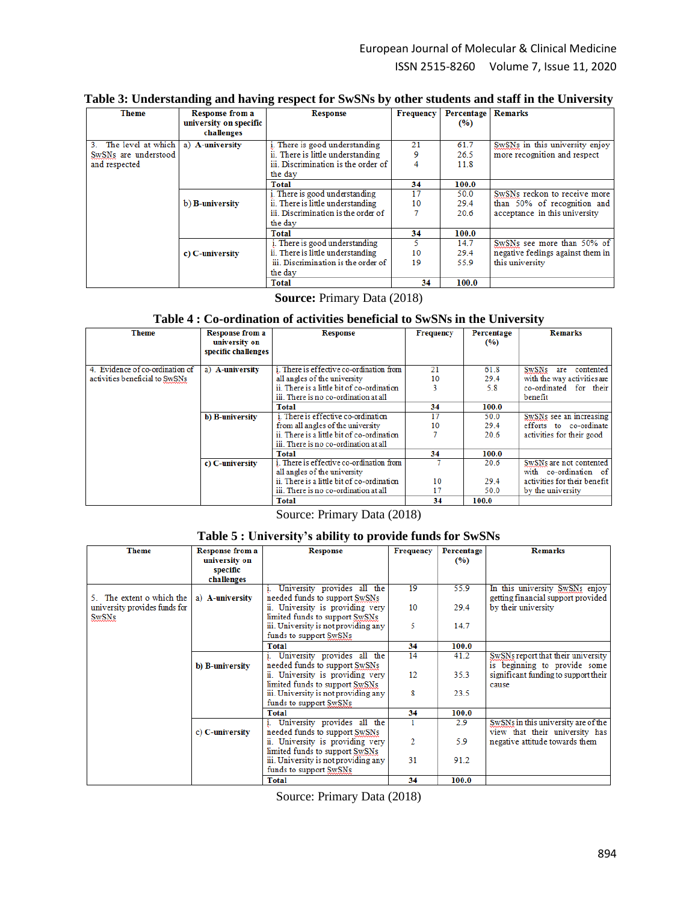| Table 3: Understanding and having respect for SwSNs by other students and staff in the University |  |  |  |  |  |
|---------------------------------------------------------------------------------------------------|--|--|--|--|--|
|---------------------------------------------------------------------------------------------------|--|--|--|--|--|

| <b>Theme</b>         | <b>Response from a</b> | <b>Response</b>                     | <b>Frequency</b> | Percentage | <b>Remarks</b>                    |
|----------------------|------------------------|-------------------------------------|------------------|------------|-----------------------------------|
|                      | university on specific |                                     |                  | (%)        |                                   |
|                      | challenges             |                                     |                  |            |                                   |
| The level at which   | a) A-university        | i. There is good understanding      | 21               | 61.7       | SwSNs in this university enjoy    |
| SwSNs are understood |                        | ii. There is little understanding   |                  | 26.5       | more recognition and respect      |
| and respected        |                        | iii. Discrimination is the order of |                  | 11.8       |                                   |
|                      |                        | the day                             |                  |            |                                   |
|                      |                        | Total                               | 34               | 100.0      |                                   |
|                      |                        | i. There is good understanding      | 17               | 50.0       | SwSNs reckon to receive more      |
|                      | b) B-university        | ii. There is little understanding   | 10               | 29.4       | than 50% of recognition and       |
|                      |                        | iii. Discrimination is the order of |                  | 20.6       | acceptance in this university     |
|                      |                        | the day                             |                  |            |                                   |
|                      |                        | Total                               | 34               | 100.0      |                                   |
|                      |                        | i. There is good understanding      |                  | 14.7       | SwSNs see more than 50% of        |
|                      | c) C-university        | ii. There is little understanding   | 10               | 29.4       | negative feelings against them in |
|                      |                        | iii. Discrimination is the order of | 19               | 55.9       | this university                   |
|                      |                        | the day                             |                  |            |                                   |
|                      |                        | Total                               | 34               | 100.0      |                                   |

**Source:** Primary Data (2018)

# **Table 4 : Co-ordination of activities beneficial to SwSNs in the University**

| <b>Theme</b>                    | <b>Response from a</b> | <b>Response</b>                            | <b>Frequency</b> | Percentage | <b>Remarks</b>                   |
|---------------------------------|------------------------|--------------------------------------------|------------------|------------|----------------------------------|
|                                 | university on          |                                            |                  | (%)        |                                  |
|                                 | specific challenges    |                                            |                  |            |                                  |
|                                 |                        |                                            |                  |            |                                  |
| 4. Evidence of co-ordination of | a) A-university        | i. There is effective co-ordination from   | 21               | 61.8       | <b>SwSNs</b><br>contented<br>are |
| activities beneficial to SwSNs  |                        | all angles of the university               | 10               | 29.4       | with the way activities are      |
|                                 |                        | ii. There is a little bit of co-ordination |                  | 5.8        | co-ordinated for their           |
|                                 |                        | iii. There is no co-ordination at all      |                  |            | benefit                          |
|                                 |                        | <b>Total</b>                               | 34               | 100.0      |                                  |
|                                 | b) B-university        | i. There is effective co-ordination        | 17               | 50.0       | SwSNs see an increasing          |
|                                 |                        | from all angles of the university          | 10               | 29.4       | efforts to co-ordinate           |
|                                 |                        | ii. There is a little bit of co-ordination |                  | 20.6       | activities for their good        |
|                                 |                        | iii. There is no co-ordination at all      |                  |            |                                  |
|                                 |                        | Total                                      | 34               | 100.0      |                                  |
|                                 | c) C-university        | i. There is effective co-ordination from   |                  | 20.6       | SwSNs are not contented          |
|                                 |                        | all angles of the university               |                  |            | with co-ordination of            |
|                                 |                        | ii. There is a little bit of co-ordination | 10               | 29.4       | activities for their benefit     |
|                                 |                        | iii. There is no co-ordination at all      | 17               | 50.0       | by the university                |
|                                 |                        | <b>Total</b>                               | 34               | 100.0      |                                  |

Source: Primary Data (2018)

# **Table 5 : University's ability to provide funds for SwSNs**

| <b>Theme</b>                  | <b>Response from a</b> | <b>Response</b>                      | <b>Frequency</b> | Percentage | <b>Remarks</b>                       |
|-------------------------------|------------------------|--------------------------------------|------------------|------------|--------------------------------------|
|                               | university on          |                                      |                  | (9/0)      |                                      |
|                               | specific               |                                      |                  |            |                                      |
|                               | challenges             |                                      |                  |            |                                      |
|                               |                        | University provides all the          | 19               | 55.9       | In this university SwSNs enjoy       |
| 5. The extent o which the     | a) A-university        | needed funds to support SwSNs        |                  |            | getting financial support provided   |
| university provides funds for |                        | ii. University is providing very     | 10               | 29.4       | by their university                  |
| <b>SwSNs</b>                  |                        | limited funds to support SwSNs       |                  |            |                                      |
|                               |                        | iii. University is not providing any | 5                | 14.7       |                                      |
|                               |                        | funds to support SwSNs               |                  |            |                                      |
|                               |                        | <b>Total</b>                         | 34               | 100.0      |                                      |
|                               |                        | University provides all the          | 14               | 41.2       | SwSNs report that their university   |
|                               | b) B-university        | needed funds to support SwSNs        |                  |            | is beginning to provide some         |
|                               |                        | ii. University is providing very     | 12               | 35.3       | significant funding to support their |
|                               |                        | limited funds to support SwSNs       |                  |            | cause                                |
|                               |                        | iii. University is not providing any | 8                | 23.5       |                                      |
|                               |                        | funds to support SwSNs               |                  |            |                                      |
|                               |                        | Total                                | 34               | 100.0      |                                      |
|                               |                        | i. University provides all the       | 1                | 2.9        | SwSNs in this university are of the  |
|                               | c) C-university        | needed funds to support SwSNs        |                  |            | view that their university has       |
|                               |                        | ii. University is providing very     | 2                | 5.9        | negative attitude towards them       |
|                               |                        | limited funds to support SwSNs       |                  |            |                                      |
|                               |                        | iii. University is not providing any | 31               | 91.2       |                                      |
|                               |                        | funds to support SwSNs               |                  |            |                                      |
|                               |                        | <b>Total</b>                         | 34               | 100.0      |                                      |

Source: Primary Data (2018)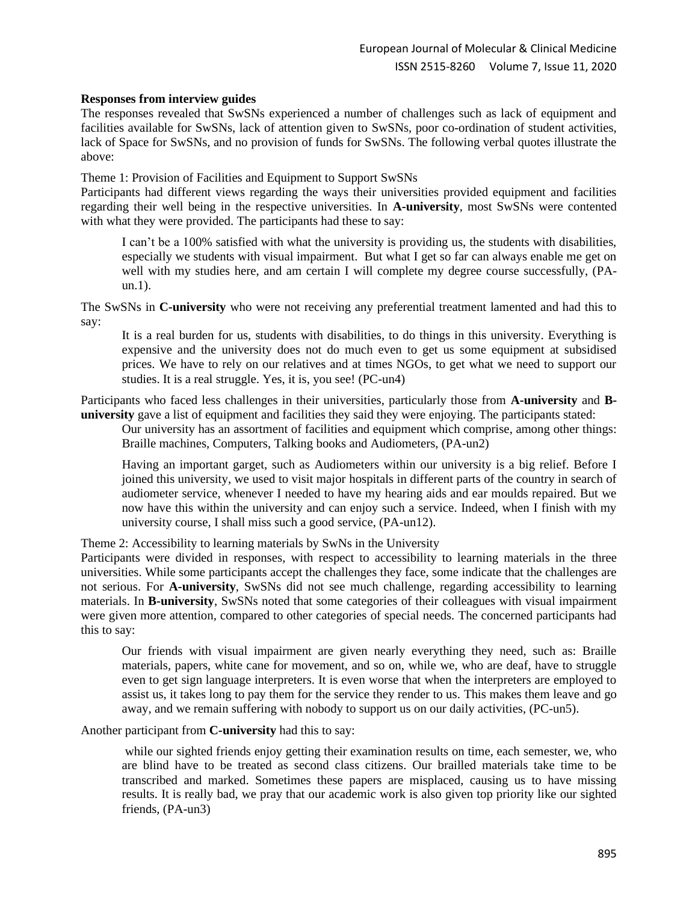# **Responses from interview guides**

The responses revealed that SwSNs experienced a number of challenges such as lack of equipment and facilities available for SwSNs, lack of attention given to SwSNs, poor co-ordination of student activities, lack of Space for SwSNs, and no provision of funds for SwSNs. The following verbal quotes illustrate the above:

Theme 1: Provision of Facilities and Equipment to Support SwSNs

Participants had different views regarding the ways their universities provided equipment and facilities regarding their well being in the respective universities. In **A-university**, most SwSNs were contented with what they were provided. The participants had these to say:

I can't be a 100% satisfied with what the university is providing us, the students with disabilities, especially we students with visual impairment. But what I get so far can always enable me get on well with my studies here, and am certain I will complete my degree course successfully, (PAun.1).

The SwSNs in **C-university** who were not receiving any preferential treatment lamented and had this to say:

It is a real burden for us, students with disabilities, to do things in this university. Everything is expensive and the university does not do much even to get us some equipment at subsidised prices. We have to rely on our relatives and at times NGOs, to get what we need to support our studies. It is a real struggle. Yes, it is, you see! (PC-un4)

Participants who faced less challenges in their universities, particularly those from **A-university** and **Buniversity** gave a list of equipment and facilities they said they were enjoying. The participants stated:

Our university has an assortment of facilities and equipment which comprise, among other things: Braille machines, Computers, Talking books and Audiometers, (PA-un2)

Having an important garget, such as Audiometers within our university is a big relief. Before I joined this university, we used to visit major hospitals in different parts of the country in search of audiometer service, whenever I needed to have my hearing aids and ear moulds repaired. But we now have this within the university and can enjoy such a service. Indeed, when I finish with my university course, I shall miss such a good service, (PA-un12).

Theme 2: Accessibility to learning materials by SwNs in the University

Participants were divided in responses, with respect to accessibility to learning materials in the three universities. While some participants accept the challenges they face, some indicate that the challenges are not serious. For **A-university**, SwSNs did not see much challenge, regarding accessibility to learning materials. In **B-university**, SwSNs noted that some categories of their colleagues with visual impairment were given more attention, compared to other categories of special needs. The concerned participants had this to say:

Our friends with visual impairment are given nearly everything they need, such as: Braille materials, papers, white cane for movement, and so on, while we, who are deaf, have to struggle even to get sign language interpreters. It is even worse that when the interpreters are employed to assist us, it takes long to pay them for the service they render to us. This makes them leave and go away, and we remain suffering with nobody to support us on our daily activities, (PC-un5).

Another participant from **C-university** had this to say:

while our sighted friends enjoy getting their examination results on time, each semester, we, who are blind have to be treated as second class citizens. Our brailled materials take time to be transcribed and marked. Sometimes these papers are misplaced, causing us to have missing results. It is really bad, we pray that our academic work is also given top priority like our sighted friends, (PA-un3)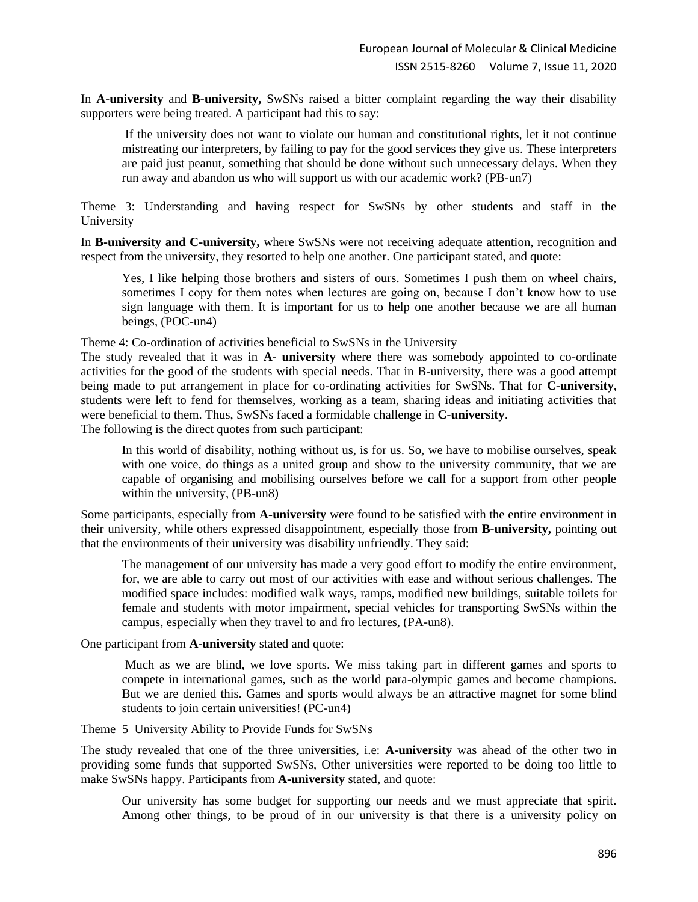In **A-university** and **B-university,** SwSNs raised a bitter complaint regarding the way their disability supporters were being treated. A participant had this to say:

If the university does not want to violate our human and constitutional rights, let it not continue mistreating our interpreters, by failing to pay for the good services they give us. These interpreters are paid just peanut, something that should be done without such unnecessary delays. When they run away and abandon us who will support us with our academic work? (PB-un7)

Theme 3: Understanding and having respect for SwSNs by other students and staff in the University

In **B-university and C-university,** where SwSNs were not receiving adequate attention, recognition and respect from the university, they resorted to help one another. One participant stated, and quote:

Yes, I like helping those brothers and sisters of ours. Sometimes I push them on wheel chairs, sometimes I copy for them notes when lectures are going on, because I don't know how to use sign language with them. It is important for us to help one another because we are all human beings, (POC-un4)

Theme 4: Co-ordination of activities beneficial to SwSNs in the University

The study revealed that it was in **A- university** where there was somebody appointed to co-ordinate activities for the good of the students with special needs. That in B-university, there was a good attempt being made to put arrangement in place for co-ordinating activities for SwSNs. That for **C-university**, students were left to fend for themselves, working as a team, sharing ideas and initiating activities that were beneficial to them. Thus, SwSNs faced a formidable challenge in **C-university**.

The following is the direct quotes from such participant:

In this world of disability, nothing without us, is for us. So, we have to mobilise ourselves, speak with one voice, do things as a united group and show to the university community, that we are capable of organising and mobilising ourselves before we call for a support from other people within the university, (PB-un8)

Some participants, especially from **A-university** were found to be satisfied with the entire environment in their university, while others expressed disappointment, especially those from **B-university,** pointing out that the environments of their university was disability unfriendly. They said:

The management of our university has made a very good effort to modify the entire environment, for, we are able to carry out most of our activities with ease and without serious challenges. The modified space includes: modified walk ways, ramps, modified new buildings, suitable toilets for female and students with motor impairment, special vehicles for transporting SwSNs within the campus, especially when they travel to and fro lectures, (PA-un8).

One participant from **A-university** stated and quote:

Much as we are blind, we love sports. We miss taking part in different games and sports to compete in international games, such as the world para-olympic games and become champions. But we are denied this. Games and sports would always be an attractive magnet for some blind students to join certain universities! (PC-un4)

Theme 5 University Ability to Provide Funds for SwSNs

The study revealed that one of the three universities, i.e: **A-university** was ahead of the other two in providing some funds that supported SwSNs, Other universities were reported to be doing too little to make SwSNs happy. Participants from **A-university** stated, and quote:

Our university has some budget for supporting our needs and we must appreciate that spirit. Among other things, to be proud of in our university is that there is a university policy on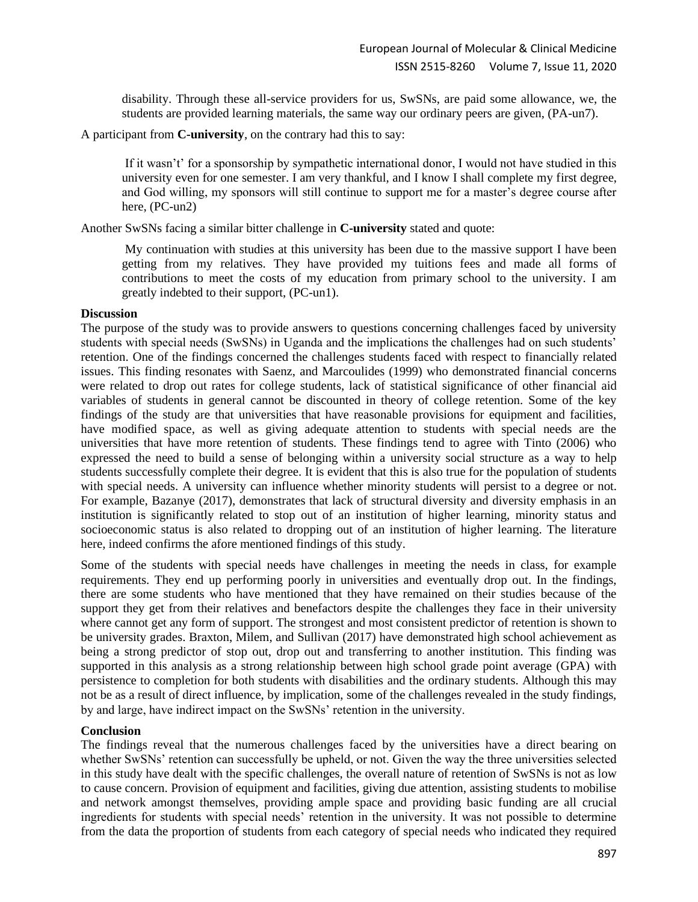disability. Through these all-service providers for us, SwSNs, are paid some allowance, we, the students are provided learning materials, the same way our ordinary peers are given, (PA-un7).

A participant from **C-university**, on the contrary had this to say:

If it wasn't' for a sponsorship by sympathetic international donor, I would not have studied in this university even for one semester. I am very thankful, and I know I shall complete my first degree, and God willing, my sponsors will still continue to support me for a master's degree course after here, (PC-un2)

Another SwSNs facing a similar bitter challenge in **C-university** stated and quote:

My continuation with studies at this university has been due to the massive support I have been getting from my relatives. They have provided my tuitions fees and made all forms of contributions to meet the costs of my education from primary school to the university. I am greatly indebted to their support, (PC-un1).

## **Discussion**

The purpose of the study was to provide answers to questions concerning challenges faced by university students with special needs (SwSNs) in Uganda and the implications the challenges had on such students' retention. One of the findings concerned the challenges students faced with respect to financially related issues. This finding resonates with Saenz, and Marcoulides (1999) who demonstrated financial concerns were related to drop out rates for college students, lack of statistical significance of other financial aid variables of students in general cannot be discounted in theory of college retention. Some of the key findings of the study are that universities that have reasonable provisions for equipment and facilities, have modified space, as well as giving adequate attention to students with special needs are the universities that have more retention of students. These findings tend to agree with Tinto (2006) who expressed the need to build a sense of belonging within a university social structure as a way to help students successfully complete their degree. It is evident that this is also true for the population of students with special needs. A university can influence whether minority students will persist to a degree or not. For example, Bazanye (2017), demonstrates that lack of structural diversity and diversity emphasis in an institution is significantly related to stop out of an institution of higher learning, minority status and socioeconomic status is also related to dropping out of an institution of higher learning. The literature here, indeed confirms the afore mentioned findings of this study.

Some of the students with special needs have challenges in meeting the needs in class, for example requirements. They end up performing poorly in universities and eventually drop out. In the findings, there are some students who have mentioned that they have remained on their studies because of the support they get from their relatives and benefactors despite the challenges they face in their university where cannot get any form of support. The strongest and most consistent predictor of retention is shown to be university grades. Braxton, Milem, and Sullivan (2017) have demonstrated high school achievement as being a strong predictor of stop out, drop out and transferring to another institution. This finding was supported in this analysis as a strong relationship between high school grade point average (GPA) with persistence to completion for both students with disabilities and the ordinary students. Although this may not be as a result of direct influence, by implication, some of the challenges revealed in the study findings, by and large, have indirect impact on the SwSNs' retention in the university.

# **Conclusion**

The findings reveal that the numerous challenges faced by the universities have a direct bearing on whether SwSNs' retention can successfully be upheld, or not. Given the way the three universities selected in this study have dealt with the specific challenges, the overall nature of retention of SwSNs is not as low to cause concern. Provision of equipment and facilities, giving due attention, assisting students to mobilise and network amongst themselves, providing ample space and providing basic funding are all crucial ingredients for students with special needs' retention in the university. It was not possible to determine from the data the proportion of students from each category of special needs who indicated they required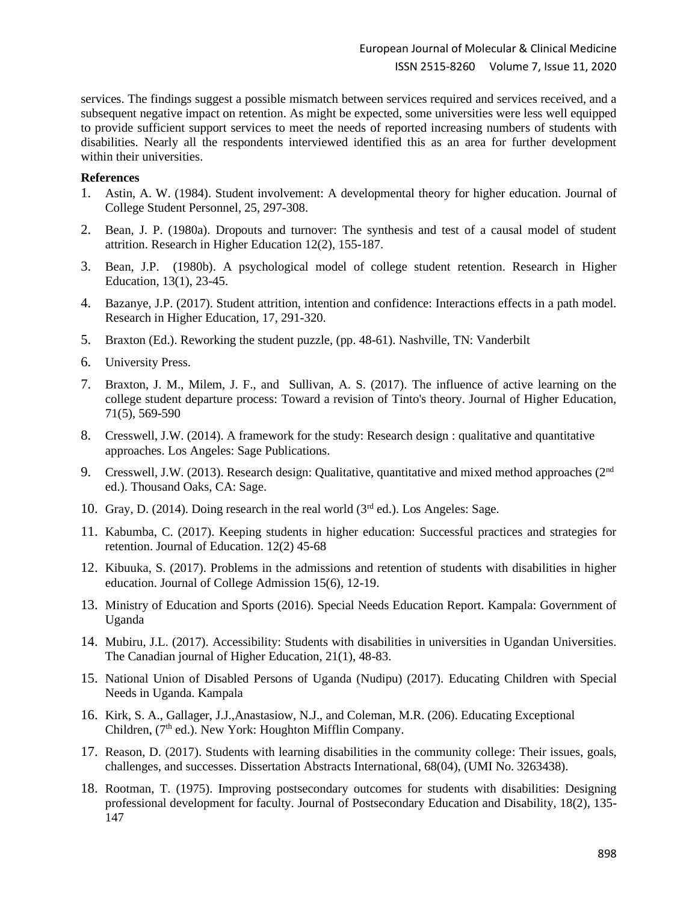services. The findings suggest a possible mismatch between services required and services received, and a subsequent negative impact on retention. As might be expected, some universities were less well equipped to provide sufficient support services to meet the needs of reported increasing numbers of students with disabilities. Nearly all the respondents interviewed identified this as an area for further development within their universities.

## **References**

- 1. Astin, A. W. (1984). Student involvement: A developmental theory for higher education. Journal of College Student Personnel, 25, 297-308.
- 2. Bean, J. P. (1980a). Dropouts and turnover: The synthesis and test of a causal model of student attrition. Research in Higher Education 12(2), 155-187.
- 3. Bean, J.P. (1980b). A psychological model of college student retention. Research in Higher Education, 13(1), 23-45.
- 4. Bazanye, J.P. (2017). Student attrition, intention and confidence: Interactions effects in a path model. Research in Higher Education, 17, 291-320.
- 5. Braxton (Ed.). Reworking the student puzzle, (pp. 48-61). Nashville, TN: Vanderbilt
- 6. University Press.
- 7. Braxton, J. M., Milem, J. F., and Sullivan, A. S. (2017). The influence of active learning on the college student departure process: Toward a revision of Tinto's theory. Journal of Higher Education, 71(5), 569-590
- 8. Cresswell, J.W. (2014). A framework for the study: Research design : qualitative and quantitative approaches. Los Angeles: Sage Publications.
- 9. Cresswell, J.W. (2013). Research design: Qualitative, quantitative and mixed method approaches (2<sup>nd</sup>) ed.). Thousand Oaks, CA: Sage.
- 10. Gray, D. (2014). Doing research in the real world  $(3<sup>rd</sup>$  ed.). Los Angeles: Sage.
- 11. Kabumba, C. (2017). Keeping students in higher education: Successful practices and strategies for retention. Journal of Education. 12(2) 45-68
- 12. Kibuuka, S. (2017). Problems in the admissions and retention of students with disabilities in higher education. Journal of College Admission 15(6), 12-19.
- 13. Ministry of Education and Sports (2016). Special Needs Education Report. Kampala: Government of Uganda
- 14. Mubiru, J.L. (2017). Accessibility: Students with disabilities in universities in Ugandan Universities. The Canadian journal of Higher Education, 21(1), 48-83.
- 15. National Union of Disabled Persons of Uganda (Nudipu) (2017). Educating Children with Special Needs in Uganda. Kampala
- 16. Kirk, S. A., Gallager, J.J.,Anastasiow, N.J., and Coleman, M.R. (206). Educating Exceptional Children,  $(7<sup>th</sup>$  ed.). New York: Houghton Mifflin Company.
- 17. Reason, D. (2017). Students with learning disabilities in the community college: Their issues, goals, challenges, and successes. Dissertation Abstracts International, 68(04), (UMI No. 3263438).
- 18. Rootman, T. (1975). Improving postsecondary outcomes for students with disabilities: Designing professional development for faculty. Journal of Postsecondary Education and Disability, 18(2), 135- 147